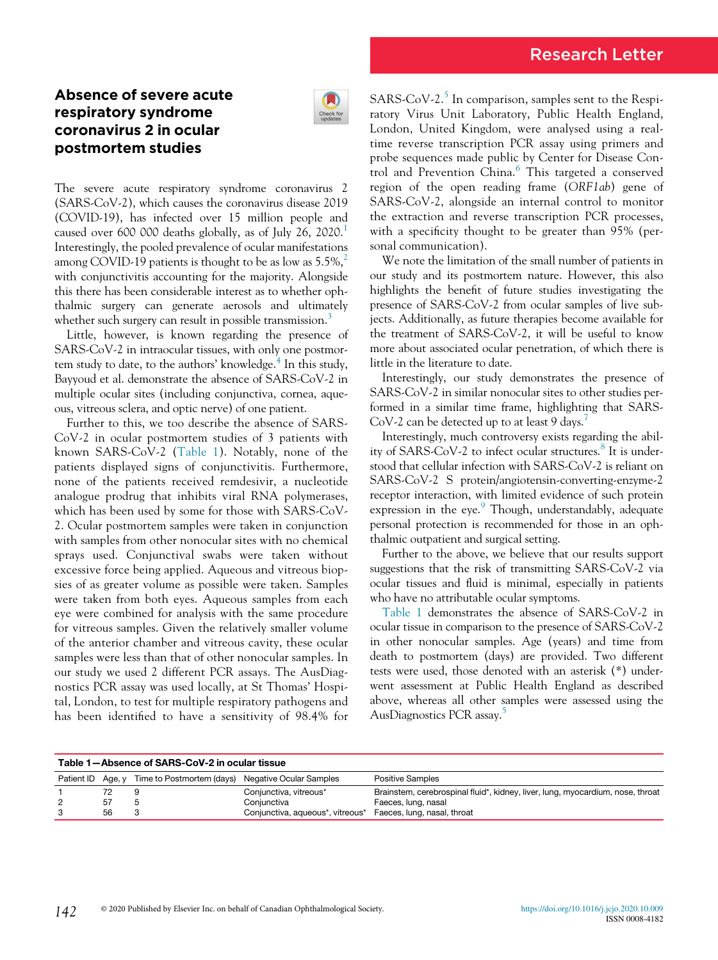## Absence of severe acute respiratory syndrome coronavirus 2 in ocular postmortem studies



The severe acute respiratory syndrome coronavirus 2 (SARS-CoV-2), which causes the coronavirus disease 2019 (COVID-19), has infected over 15 million people and caused over 600 000 deaths globally, as of July 26, 2020. $^1$  $^1$ Interestingly, the pooled prevalence of ocular manifestations among COVID-19 patients is thought to be as low as  $5.5\%$ , with conjunctivitis accounting for the majority. Alongside this there has been considerable interest as to whether ophthalmic surgery can generate aerosols and ultimately whether such surgery can result in possible transmission.<sup>[3](#page-1-2)</sup>

Little, however, is known regarding the presence of SARS-CoV-2 in intraocular tissues, with only one postmortem study to date, to the authors' knowledge. $4$  In this study, Bayyoud et al. demonstrate the absence of SARS-CoV-2 in multiple ocular sites (including conjunctiva, cornea, aqueous, vitreous sclera, and optic nerve) of one patient.

Further to this, we too describe the absence of SARS-CoV-2 in ocular postmortem studies of 3 patients with known SARS-CoV-2 ([Table 1\)](#page-0-0). Notably, none of the patients displayed signs of conjunctivitis. Furthermore, none of the patients received remdesivir, a nucleotide analogue prodrug that inhibits viral RNA polymerases, which has been used by some for those with SARS-CoV-2. Ocular postmortem samples were taken in conjunction with samples from other nonocular sites with no chemical sprays used. Conjunctival swabs were taken without excessive force being applied. Aqueous and vitreous biopsies of as greater volume as possible were taken. Samples were taken from both eyes. Aqueous samples from each eye were combined for analysis with the same procedure for vitreous samples. Given the relatively smaller volume of the anterior chamber and vitreous cavity, these ocular samples were less than that of other nonocular samples. In our study we used 2 different PCR assays. The AusDiagnostics PCR assay was used locally, at St Thomas' Hospital, London, to test for multiple respiratory pathogens and has been identified to have a sensitivity of 98.4% for SARS-CoV-2.<sup>[5](#page-1-4)</sup> In comparison, samples sent to the Respiratory Virus Unit Laboratory, Public Health England, London, United Kingdom, were analysed using a realtime reverse transcription PCR assay using primers and probe sequences made public by Center for Disease Con-trol and Prevention China.<sup>[6](#page-1-5)</sup> This targeted a conserved region of the open reading frame (ORF1ab) gene of SARS-CoV-2, alongside an internal control to monitor the extraction and reverse transcription PCR processes, with a specificity thought to be greater than 95% (personal communication).

We note the limitation of the small number of patients in our study and its postmortem nature. However, this also highlights the benefit of future studies investigating the presence of SARS-CoV-2 from ocular samples of live subjects. Additionally, as future therapies become available for the treatment of SARS-CoV-2, it will be useful to know more about associated ocular penetration, of which there is little in the literature to date.

Interestingly, our study demonstrates the presence of SARS-CoV-2 in similar nonocular sites to other studies performed in a similar time frame, highlighting that SARS-CoV-2 can be detected up to at least 9 days.<sup>[7](#page-1-6)</sup>

Interestingly, much controversy exists regarding the abil-ity of SARS-CoV-2 to infect ocular structures.<sup>[8](#page-1-7)</sup> It is understood that cellular infection with SARS-CoV-2 is reliant on SARS-CoV-2 S protein/angiotensin-converting-enzyme-2 receptor interaction, with limited evidence of such protein expression in the eye. $9$  Though, understandably, adequate personal protection is recommended for those in an ophthalmic outpatient and surgical setting.

Further to the above, we believe that our results support suggestions that the risk of transmitting SARS-CoV-2 via ocular tissues and fluid is minimal, especially in patients who have no attributable ocular symptoms.

[Table 1](#page-0-0) demonstrates the absence of SARS-CoV-2 in ocular tissue in comparison to the presence of SARS-CoV-2 in other nonocular samples. Age (years) and time from death to postmortem (days) are provided. Two different tests were used, those denoted with an asterisk (\*) underwent assessment at Public Health England as described above, whereas all other samples were assessed using the AusDiagnostics PCR assay.[5](#page-1-4)

<span id="page-0-0"></span>

| Table 1-Absence of SARS-CoV-2 in ocular tissue |    |                                                          |                                  |                                                                                |
|------------------------------------------------|----|----------------------------------------------------------|----------------------------------|--------------------------------------------------------------------------------|
| Patient ID                                     |    | Age, y Time to Postmortem (days) Negative Ocular Samples |                                  | <b>Positive Samples</b>                                                        |
|                                                |    |                                                          | Conjunctiva, vitreous*           | Brainstem, cerebrospinal fluid*, kidney, liver, lung, myocardium, nose, throat |
|                                                | 57 |                                                          | Conjunctiva                      | Faeces, lung, nasal                                                            |
|                                                | 56 |                                                          | Conjunctiva, aqueous*, vitreous* | Faeces, lung, nasal, throat                                                    |